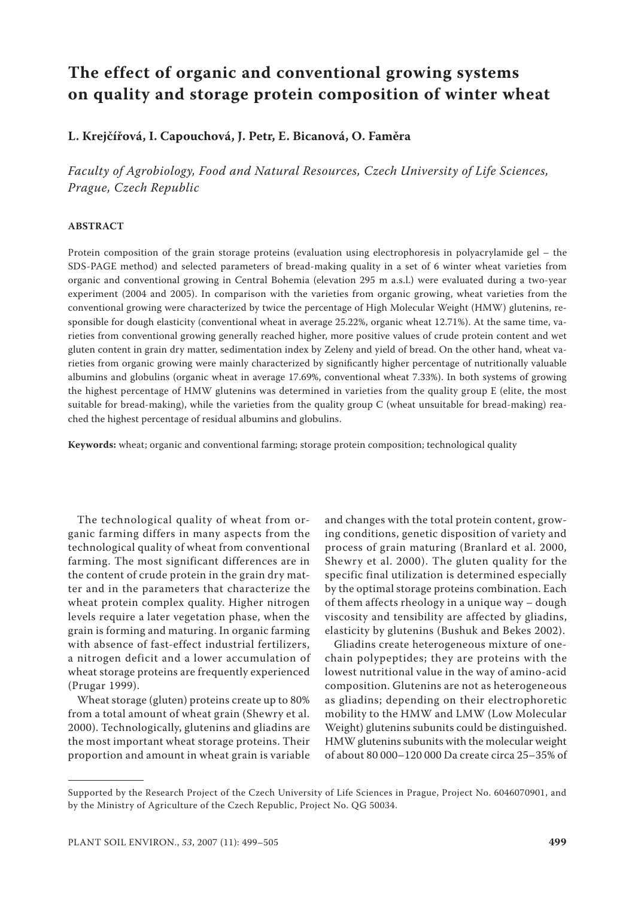# **The effect of organic and conventional growing systems on quality and storage protein composition of winter wheat**

**L. Krejčířová, I. Capouchová, J. Petr, E. Bicanová, O. Faměra**

*Faculty of Agrobiology, Food and Natural Resources, Czech University of Life Sciences, Prague, Czech Republic*

# **ABSTRACT**

Protein composition of the grain storage proteins (evaluation using electrophoresis in polyacrylamide gel – the SDS-PAGE method) and selected parameters of bread-making quality in a set of 6 winter wheat varieties from organic and conventional growing in Central Bohemia (elevation 295 m a.s.l.) were evaluated during a two-year experiment (2004 and 2005). In comparison with the varieties from organic growing, wheat varieties from the conventional growing were characterized by twice the percentage of High Molecular Weight (HMW) glutenins, responsible for dough elasticity (conventional wheat in average 25.22%, organic wheat 12.71%). At the same time, varieties from conventional growing generally reached higher, more positive values of crude protein content and wet gluten content in grain dry matter, sedimentation index by Zeleny and yield of bread. On the other hand, wheat varieties from organic growing were mainly characterized by significantly higher percentage of nutritionally valuable albumins and globulins (organic wheat in average 17.69%, conventional wheat 7.33%). In both systems of growing the highest percentage of HMW glutenins was determined in varieties from the quality group E (elite, the most suitable for bread-making), while the varieties from the quality group C (wheat unsuitable for bread-making) reached the highest percentage of residual albumins and globulins.

**Keywords:** wheat; organic and conventional farming; storage protein composition; technological quality

The technological quality of wheat from organic farming differs in many aspects from the technological quality of wheat from conventional farming. The most significant differences are in the content of crude protein in the grain dry matter and in the parameters that characterize the wheat protein complex quality. Higher nitrogen levels require a later vegetation phase, when the grain is forming and maturing. In organic farming with absence of fast-effect industrial fertilizers, a nitrogen deficit and a lower accumulation of wheat storage proteins are frequently experienced (Prugar 1999).

Wheat storage (gluten) proteins create up to 80% from a total amount of wheat grain (Shewry et al. 2000). Technologically, glutenins and gliadins are the most important wheat storage proteins. Their proportion and amount in wheat grain is variable and changes with the total protein content, growing conditions, genetic disposition of variety and process of grain maturing (Branlard et al. 2000, Shewry et al. 2000). The gluten quality for the specific final utilization is determined especially by the optimal storage proteins combination. Each of them affects rheology in a unique way – dough viscosity and tensibility are affected by gliadins, elasticity by glutenins (Bushuk and Bekes 2002).

Gliadins create heterogeneous mixture of onechain polypeptides; they are proteins with the lowest nutritional value in the way of amino-acid composition. Glutenins are not as heterogeneous as gliadins; depending on their electrophoretic mobility to the HMW and LMW (Low Molecular Weight) glutenins subunits could be distinguished. HMW glutenins subunits with the molecular weight of about 80 000–120 000 Da create circa 25–35% of

Supported by the Research Project of the Czech University of Life Sciences in Prague, Project No. 6046070901, and by the Ministry of Agriculture of the Czech Republic, Project No. QG 50034.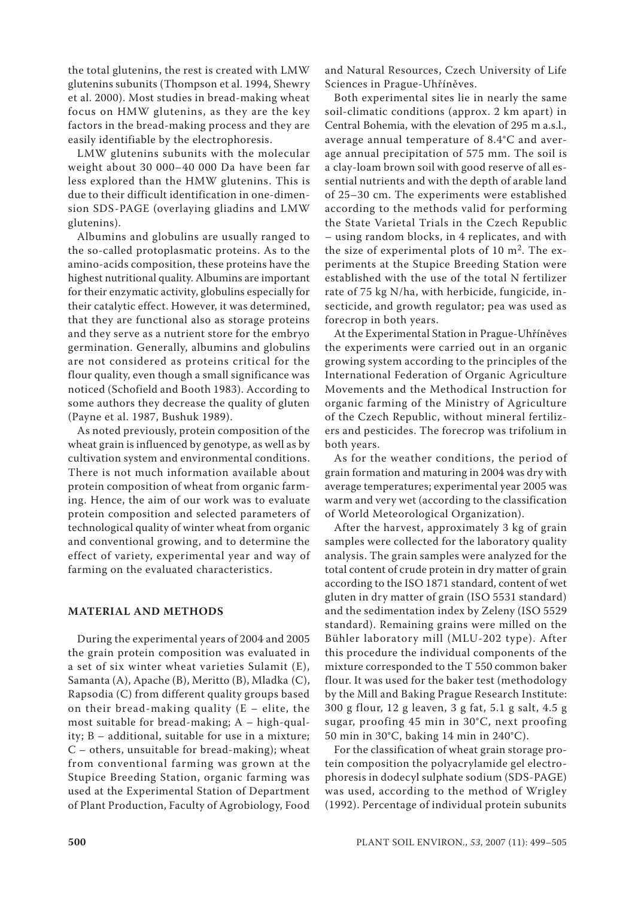the total glutenins, the rest is created with LMW glutenins subunits (Thompson et al. 1994, Shewry et al. 2000). Most studies in bread-making wheat focus on HMW glutenins, as they are the key factors in the bread-making process and they are easily identifiable by the electrophoresis.

LMW glutenins subunits with the molecular weight about 30 000–40 000 Da have been far less explored than the HMW glutenins. This is due to their difficult identification in one-dimension SDS-PAGE (overlaying gliadins and LMW glutenins).

Albumins and globulins are usually ranged to the so-called protoplasmatic proteins. As to the amino-acids composition, these proteins have the highest nutritional quality. Albumins are important for their enzymatic activity, globulins especially for their catalytic effect. However, it was determined, that they are functional also as storage proteins and they serve as a nutrient store for the embryo germination. Generally, albumins and globulins are not considered as proteins critical for the flour quality, even though a small significance was noticed (Schofield and Booth 1983). According to some authors they decrease the quality of gluten (Payne et al. 1987, Bushuk 1989).

As noted previously, protein composition of the wheat grain is influenced by genotype, as well as by cultivation system and environmental conditions. There is not much information available about protein composition of wheat from organic farming. Hence, the aim of our work was to evaluate protein composition and selected parameters of technological quality of winter wheat from organic and conventional growing, and to determine the effect of variety, experimental year and way of farming on the evaluated characteristics.

### **MATERIAL AND METHODS**

During the experimental years of 2004 and 2005 the grain protein composition was evaluated in a set of six winter wheat varieties Sulamit (E), Samanta (A), Apache (B), Meritto (B), Mladka (C), Rapsodia (C) from different quality groups based on their bread-making quality  $(E -$  elite, the most suitable for bread-making; A – high-quality; B – additional, suitable for use in a mixture; C – others, unsuitable for bread-making); wheat from conventional farming was grown at the Stupice Breeding Station, organic farming was used at the Experimental Station of Department of Plant Production, Faculty of Agrobiology, Food and Natural Resources, Czech University of Life Sciences in Prague-Uhříněves.

Both experimental sites lie in nearly the same soil-climatic conditions (approx. 2 km apart) in Central Bohemia, with the elevation of 295 m a.s.l., average annual temperature of 8.4°C and average annual precipitation of 575 mm. The soil is a clay-loam brown soil with good reserve of all essential nutrients and with the depth of arable land of 25–30 cm. The experiments were established according to the methods valid for performing the State Varietal Trials in the Czech Republic – using random blocks, in 4 replicates, and with the size of experimental plots of 10  $m<sup>2</sup>$ . The experiments at the Stupice Breeding Station were established with the use of the total N fertilizer rate of 75 kg N/ha, with herbicide, fungicide, insecticide, and growth regulator; pea was used as forecrop in both years.

At the Experimental Station in Prague-Uhříněves the experiments were carried out in an organic growing system according to the principles of the International Federation of Organic Agriculture Movements and the Methodical Instruction for organic farming of the Ministry of Agriculture of the Czech Republic, without mineral fertilizers and pesticides. The forecrop was trifolium in both years.

As for the weather conditions, the period of grain formation and maturing in 2004 was dry with average temperatures; experimental year 2005 was warm and very wet (according to the classification of World Meteorological Organization).

After the harvest, approximately 3 kg of grain samples were collected for the laboratory quality analysis. The grain samples were analyzed for the total content of crude protein in dry matter of grain according to the ISO 1871 standard, content of wet gluten in dry matter of grain (ISO 5531 standard) and the sedimentation index by Zeleny (ISO 5529 standard). Remaining grains were milled on the Bühler laboratory mill (MLU-202 type). After this procedure the individual components of the mixture corresponded to the T 550 common baker flour. It was used for the baker test (methodology by the Mill and Baking Prague Research Institute: 300 g flour, 12 g leaven, 3 g fat, 5.1 g salt, 4.5 g sugar, proofing 45 min in 30°C, next proofing 50 min in 30°C, baking 14 min in 240°C).

For the classification of wheat grain storage protein composition the polyacrylamide gel electrophoresis in dodecyl sulphate sodium (SDS-PAGE) was used, according to the method of Wrigley (1992). Percentage of individual protein subunits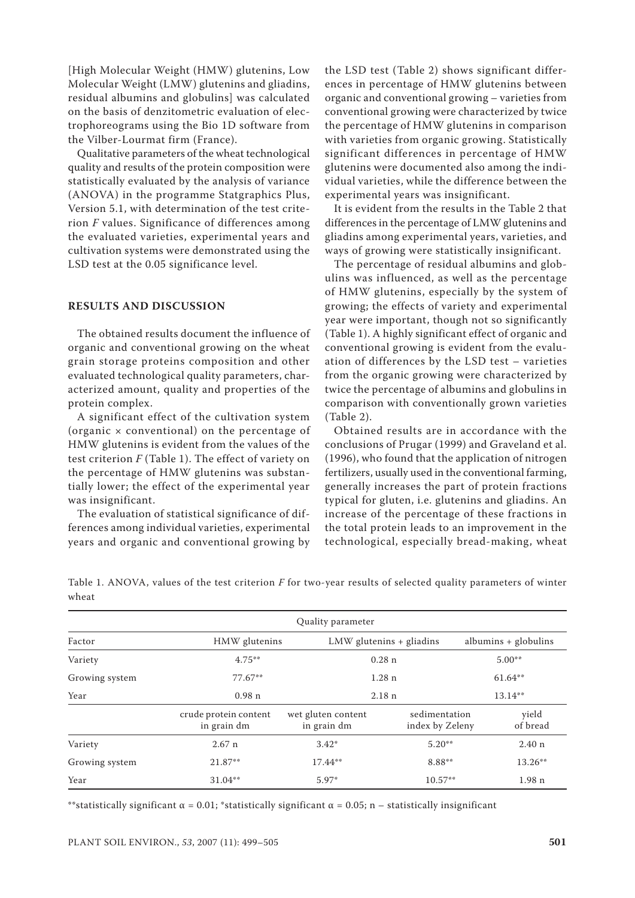[High Molecular Weight (HMW) glutenins, Low Molecular Weight (LMW) glutenins and gliadins, residual albumins and globulins] was calculated on the basis of denzitometric evaluation of electrophoreograms using the Bio 1D software from the Vilber-Lourmat firm (France).

Qualitative parameters of the wheat technological quality and results of the protein composition were statistically evaluated by the analysis of variance (ANOVA) in the programme Statgraphics Plus, Version 5.1, with determination of the test criterion *F* values. Significance of differences among the evaluated varieties, experimental years and cultivation systems were demonstrated using the LSD test at the 0.05 significance level.

#### **RESULTS AND DISCUSSION**

The obtained results document the influence of organic and conventional growing on the wheat grain storage proteins composition and other evaluated technological quality parameters, characterized amount, quality and properties of the protein complex.

A significant effect of the cultivation system (organic  $\times$  conventional) on the percentage of HMW glutenins is evident from the values of the test criterion *F* (Table 1). The effect of variety on the percentage of HMW glutenins was substantially lower; the effect of the experimental year was insignificant.

The evaluation of statistical significance of differences among individual varieties, experimental years and organic and conventional growing by the LSD test (Table 2) shows significant differences in percentage of HMW glutenins between organic and conventional growing – varieties from conventional growing were characterized by twice the percentage of HMW glutenins in comparison with varieties from organic growing. Statistically significant differences in percentage of HMW glutenins were documented also among the individual varieties, while the difference between the experimental years was insignificant.

It is evident from the results in the Table 2 that differences in the percentage of LMW glutenins and gliadins among experimental years, varieties, and ways of growing were statistically insignificant.

The percentage of residual albumins and globulins was influenced, as well as the percentage of HMW glutenins, especially by the system of growing; the effects of variety and experimental year were important, though not so significantly (Table 1). A highly significant effect of organic and conventional growing is evident from the evaluation of differences by the LSD test – varieties from the organic growing were characterized by twice the percentage of albumins and globulins in comparison with conventionally grown varieties (Table 2).

Obtained results are in accordance with the conclusions of Prugar (1999) and Graveland et al. (1996), who found that the application of nitrogen fertilizers, usually used in the conventional farming, generally increases the part of protein fractions typical for gluten, i.e. glutenins and gliadins. An increase of the percentage of these fractions in the total protein leads to an improvement in the technological, especially bread-making, wheat

| Quality parameter |                                      |                                   |                                  |                      |  |  |  |  |  |  |  |
|-------------------|--------------------------------------|-----------------------------------|----------------------------------|----------------------|--|--|--|--|--|--|--|
| Factor            | HMW glutenins                        |                                   | $LMW$ glutenins + gliadins       | albumins + globulins |  |  |  |  |  |  |  |
| Variety           | $4.75***$                            |                                   | $0.28$ n                         | $5.00**$             |  |  |  |  |  |  |  |
| Growing system    | $77.67**$                            |                                   | 1.28 <sub>n</sub>                | $61.64**$            |  |  |  |  |  |  |  |
| Year              | 0.98 <sub>n</sub>                    | $2.18\text{ n}$                   | $13.14**$                        |                      |  |  |  |  |  |  |  |
|                   | crude protein content<br>in grain dm | wet gluten content<br>in grain dm | sedimentation<br>index by Zeleny | yield<br>of bread    |  |  |  |  |  |  |  |
| Variety           | $2.67 \text{ n}$                     | $3.42*$                           | $5.20**$                         | 2.40 <sub>n</sub>    |  |  |  |  |  |  |  |
| Growing system    | $21.87**$                            | $17.44**$                         | 8.88**                           | $13.26**$            |  |  |  |  |  |  |  |
| Year              | $31.04**$                            | 5.97*                             | $10.57**$                        | 1.98 <sub>n</sub>    |  |  |  |  |  |  |  |

Table 1. ANOVA, values of the test criterion *F* for two-year results of selected quality parameters of winter wheat

\*\*statistically significant  $\alpha = 0.01$ ; \*statistically significant  $\alpha = 0.05$ ; n – statistically insignificant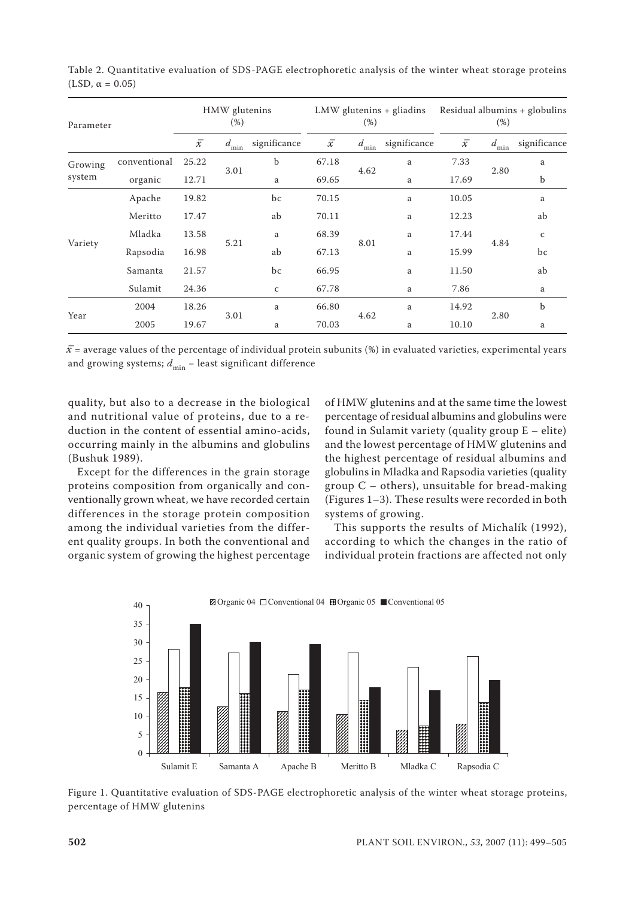| Parameter         |              | HMW glutenins<br>$(\%)$ |                        |              | $LMW$ glutenins + gliadins<br>(%) |            |              | Residual albumins + globulins<br>(%) |            |              |  |
|-------------------|--------------|-------------------------|------------------------|--------------|-----------------------------------|------------|--------------|--------------------------------------|------------|--------------|--|
|                   |              | $\bar{\mathcal{X}}$     | $d_{\underline{\min}}$ | significance | $\bar{\mathcal{X}}$               | $d_{\min}$ | significance | $\bar{\mathcal{X}}$                  | $d_{\min}$ | significance |  |
| Growing<br>system | conventional | 25.22                   |                        | b            | 67.18                             | 4.62       | a            | 7.33                                 | 2.80       | a            |  |
|                   | organic      | 12.71                   | 3.01                   | a            | 69.65                             |            | a            | 17.69                                |            | b            |  |
| Variety           | Apache       | 19.82                   |                        | bc           | 70.15                             |            | a            | 10.05                                | 4.84       | a            |  |
|                   | Meritto      | 17.47                   |                        | ab           | 70.11                             | 8.01       | a            | 12.23                                |            | ab           |  |
|                   | Mladka       | 13.58                   |                        | a            | 68.39                             |            | a            | 17.44                                |            | $\mathbf C$  |  |
|                   | Rapsodia     | 16.98                   | 5.21                   | ab           | 67.13                             |            | a            | 15.99                                |            | bc           |  |
|                   | Samanta      | 21.57                   |                        | bc           | 66.95                             |            | a            | 11.50                                |            | ab           |  |
|                   | Sulamit      | 24.36                   |                        | $\mathbf C$  | 67.78                             |            | a            | 7.86                                 |            | a            |  |
| Year              | 2004         | 18.26                   |                        | a            | 66.80                             | 4.62       | a            | 14.92                                | 2.80       | b            |  |
|                   | 2005         | 19.67                   | 3.01                   | a            | 70.03                             |            | a            | 10.10                                |            | a            |  |

Table 2. Quantitative evaluation of SDS-PAGE electrophoretic analysis of the winter wheat storage proteins (LSD,  $\alpha = 0.05$ )

 $\bar{x}$  = average values of the percentage of individual protein subunits (%) in evaluated varieties, experimental years and growing systems;  $d_{\text{min}}$  = least significant difference

quality, but also to a decrease in the biological and nutritional value of proteins, due to a reduction in the content of essential amino-acids, occurring mainly in the albumins and globulins (Bushuk 1989).

Except for the differences in the grain storage proteins composition from organically and conventionally grown wheat, we have recorded certain differences in the storage protein composition among the individual varieties from the different quality groups. In both the conventional and organic system of growing the highest percentage

of HMW glutenins and at the same time the lowest percentage of residual albumins and globulins were found in Sulamit variety (quality group E – elite) and the lowest percentage of HMW glutenins and the highest percentage of residual albumins and globulins in Mladka and Rapsodia varieties (quality group C – others), unsuitable for bread-making (Figures 1–3). These results were recorded in both systems of growing.

This supports the results of Michalík (1992), according to which the changes in the ratio of individual protein fractions are affected not only



Figure 1. Quantitative evaluation of SDS-PAGE electrophoretic analysis of the winter wheat storage proteins, percentage of HMW glutenins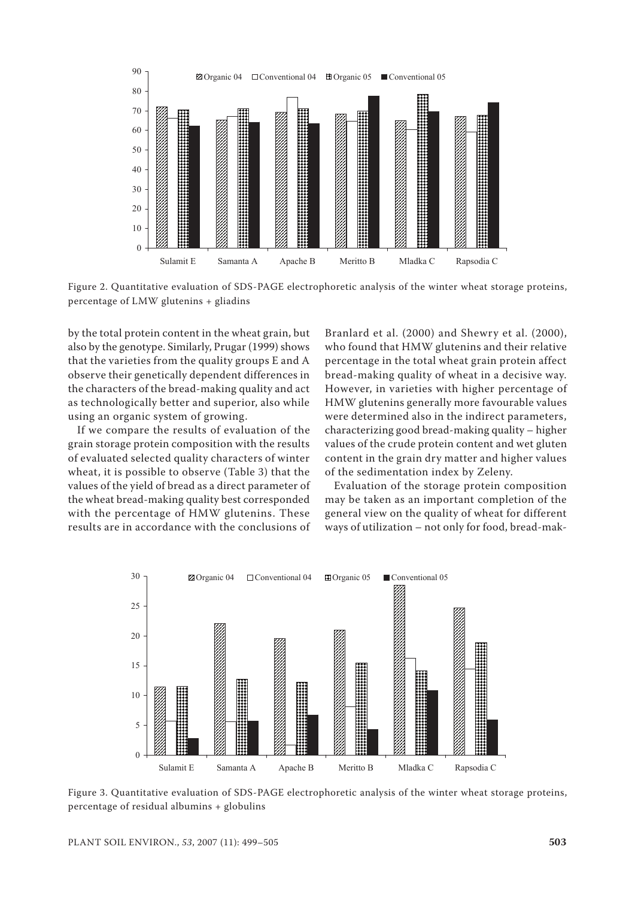

Figure 2. Quantitative evaluation of SDS-PAGE electrophoretic analysis of the winter wheat storage proteins, percentage of LMW glutenins + gliadins

by the total protein content in the wheat grain, but also by the genotype. Similarly, Prugar (1999) shows that the varieties from the quality groups E and A observe their genetically dependent differences in the characters of the bread-making quality and act as technologically better and superior, also while using an organic system of growing.

If we compare the results of evaluation of the grain storage protein composition with the results of evaluated selected quality characters of winter wheat, it is possible to observe (Table 3) that the values of the yield of bread as a direct parameter of the wheat bread-making quality best corresponded with the percentage of HMW glutenins. These results are in accordance with the conclusions of

Branlard et al. (2000) and Shewry et al. (2000), who found that HMW glutenins and their relative percentage in the total wheat grain protein affect bread-making quality of wheat in a decisive way. However, in varieties with higher percentage of HMW glutenins generally more favourable values were determined also in the indirect parameters, characterizing good bread-making quality – higher values of the crude protein content and wet gluten content in the grain dry matter and higher values of the sedimentation index by Zeleny.

Evaluation of the storage protein composition may be taken as an important completion of the general view on the quality of wheat for different ways of utilization – not only for food, bread-mak-



Figure 3. Quantitative evaluation of SDS-PAGE electrophoretic analysis of the winter wheat storage proteins, percentage of residual albumins + globulins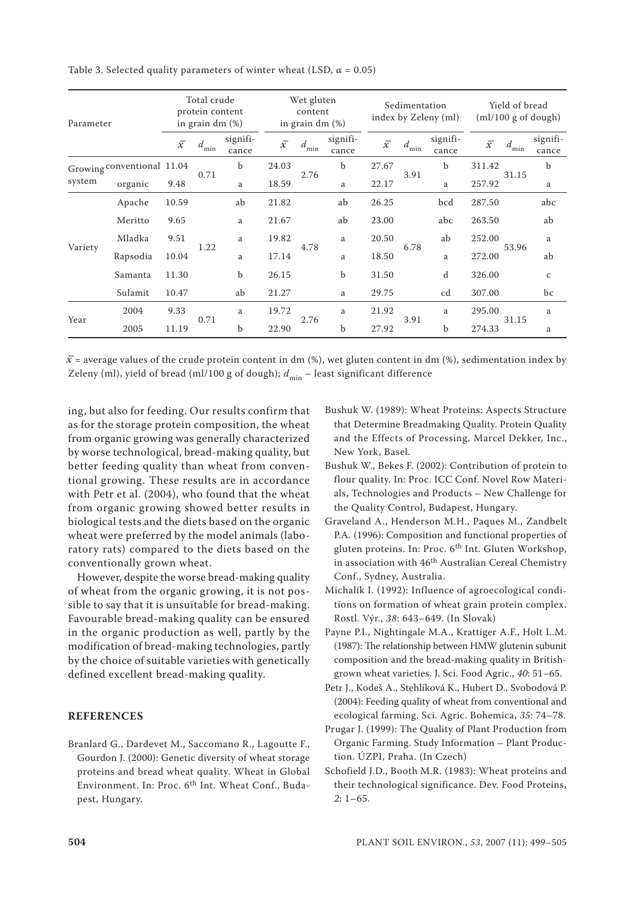| Parameter |                            | Total crude<br>protein content<br>in grain dm $(\%)$ |          | Wet gluten<br>content<br>in grain dm $(\%)$ |                     | Sedimentation<br>index by Zeleny (ml) |                   |                     | Yield of bread<br>$m!/100$ g of dough) |                   |                     |            |                   |
|-----------|----------------------------|------------------------------------------------------|----------|---------------------------------------------|---------------------|---------------------------------------|-------------------|---------------------|----------------------------------------|-------------------|---------------------|------------|-------------------|
|           |                            | $\bar{x}$                                            | d<br>min | signifi-<br>cance                           | $\bar{\mathcal{X}}$ | $d_{\min}$                            | signifi-<br>cance | $\bar{\mathcal{X}}$ | $d_{\min}$                             | signifi-<br>cance | $\bar{\mathcal{X}}$ | $d_{\min}$ | signifi-<br>cance |
| system    | Growing conventional 11.04 |                                                      | 0.71     | b                                           | 24.03               | 2.76                                  | b                 | 27.67               | 3.91                                   | b                 | 311.42              | 31.15      | b                 |
|           | organic                    | 9.48                                                 |          | a                                           | 18.59               |                                       | a                 | 22.17               |                                        | a                 | 257.92              |            | a                 |
| Variety   | Apache                     | 10.59                                                | 1.22     | ab                                          | 21.82               | 4.78                                  | ab                | 26.25               |                                        | bcd               | 287.50              |            | abc               |
|           | Meritto                    | 9.65                                                 |          | a                                           | 21.67               |                                       | ab                | 23.00               | 6.78                                   | abc               | 263.50              | 53.96      | ab                |
|           | Mladka                     | 9.51                                                 |          | a                                           | 19.82               |                                       | a                 | 20.50               |                                        | ab                | 252.00              |            | a                 |
|           | Rapsodia                   | 10.04                                                |          | a                                           | 17.14               |                                       | a                 | 18.50               |                                        | a                 | 272.00              |            | ab                |
|           | Samanta                    | 11.30                                                |          | b                                           | 26.15               |                                       | $\mathbf b$       | 31.50               |                                        | d                 | 326.00              |            | $\mathsf{C}$      |
|           | Sulamit                    | 10.47                                                |          | ab                                          | 21.27               |                                       | a                 | 29.75               |                                        | cd                | 307.00              |            | bc                |
| Year      | 2004                       | 9.33                                                 | 0.71     | a                                           | 19.72               | 2.76                                  | a                 | 21.92               | 3.91                                   | a                 | 295.00              | 31.15      | a                 |
|           | 2005                       | 11.19                                                |          | b                                           | 22.90               |                                       | b                 | 27.92               |                                        | b                 | 274.33              |            | a                 |

Table 3. Selected quality parameters of winter wheat (LSD,  $\alpha = 0.05$ )

 $\bar{x}$  = average values of the crude protein content in dm (%), wet gluten content in dm (%), sedimentation index by Zeleny (ml), yield of bread (ml/100 g of dough);  $d_{\text{min}}$  – least significant difference

ing, but also for feeding. Our results confirm that as for the storage protein composition, the wheat from organic growing was generally characterized by worse technological, bread-making quality, but better feeding quality than wheat from conventional growing. These results are in accordance with Petr et al. (2004), who found that the wheat from organic growing showed better results in biological tests and the diets based on the organic wheat were preferred by the model animals (laboratory rats) compared to the diets based on the conventionally grown wheat.

However, despite the worse bread-making quality of wheat from the organic growing, it is not possible to say that it is unsuitable for bread-making. Favourable bread-making quality can be ensured in the organic production as well, partly by the modification of bread-making technologies, partly by the choice of suitable varieties with genetically defined excellent bread-making quality.

## **REFERENCES**

Branlard G., Dardevet M., Saccomano R., Lagoutte F., Gourdon J. (2000): Genetic diversity of wheat storage proteins and bread wheat quality. Wheat in Global Environment. In: Proc. 6<sup>th</sup> Int. Wheat Conf., Budapest, Hungary.

- Bushuk W. (1989): Wheat Proteins: Aspects Structure that Determine Breadmaking Quality. Protein Quality and the Effects of Processing. Marcel Dekker, Inc., New York, Basel.
- Bushuk W., Bekes F. (2002): Contribution of protein to flour quality. In: Proc. ICC Conf. Novel Row Materials, Technologies and Products – New Challenge for the Quality Control, Budapest, Hungary.
- Graveland A., Henderson M.H., Paques M., Zandbelt P.A. (1996): Composition and functional properties of gluten proteins. In: Proc. 6<sup>th</sup> Int. Gluten Workshop, in association with 46<sup>th</sup> Australian Cereal Chemistry Conf., Sydney, Australia.
- Michalík I. (1992): Influence of agroecological conditions on formation of wheat grain protein complex. Rostl. Výr., *38*: 643–649. (In Slovak)
- Payne P.I., Nightingale M.A., Krattiger A.F., Holt L.M. (1987): The relationship between HMW glutenin subunit composition and the bread-making quality in Britishgrown wheat varieties. J. Sci. Food Agric., *40*: 51–65.
- Petr J., Kodeš A., Stehlíková K., Hubert D., Svobodová P. (2004): Feeding quality of wheat from conventional and ecological farming. Sci. Agric. Bohemica, *35*: 74–78.
- Prugar J. (1999): The Quality of Plant Production from Organic Farming. Study Information – Plant Production. ÚZPI, Praha. (In Czech)
- Schofield J.D., Booth M.R. (1983): Wheat proteins and their technological significance. Dev. Food Proteins, *2*: 1–65.